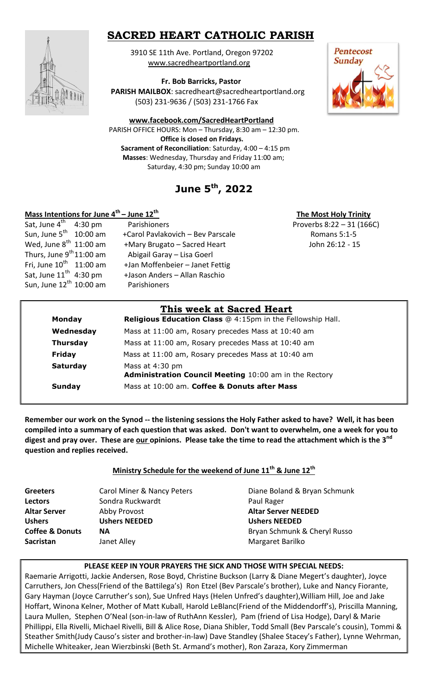## **SACRED HEART CATHOLIC PARISH**



 3910 SE 11th Ave. Portland, Oregon 97202 [www.sacredheartportland.org](http://www.sacredheartportland.org/)

 **Fr. Bob Barricks, Pastor**

 **PARISH MAILBOX**: sacredheart@sacredheartportland.org (503) 231-9636 / (503) 231-1766 Fax

**[www.facebook.com/SacredHeartPortland](http://www.facebook.com/SacredHeartPortland)**

 PARISH OFFICE HOURS: Mon – Thursday, 8:30 am – 12:30 pm. **Office is closed on Fridays. Sacrament of Reconciliation**: Saturday, 4:00 – 4:15 pm  **Masses**: Wednesday, Thursday and Friday 11:00 am; Saturday, 4:30 pm; Sunday 10:00 am

# **June 5th , 2022**

### **Mass Intentions for June 4th – June 12th**

| <b>Pentecost</b><br><b>Sunday</b> |  |
|-----------------------------------|--|
|                                   |  |
|                                   |  |

 **The Most Holy Trinity** 

|                                      | This week at Sacred Heart         |                             |
|--------------------------------------|-----------------------------------|-----------------------------|
|                                      |                                   |                             |
| Sun, June 12 <sup>th</sup> 10:00 am  | Parishioners                      |                             |
| Sat, June $11^{\text{th}}$ 4:30 pm   | +Jason Anders - Allan Raschio     |                             |
| Fri, June $10^{\text{th}}$ 11:00 am  | +Jan Moffenbeier - Janet Fettig   |                             |
| Thurs, June 9 <sup>th</sup> 11:00 am | Abigail Garay - Lisa Goerl        |                             |
| Wed, June $8^{\text{th}}$ 11:00 am   | +Mary Brugato - Sacred Heart      | John 26:12 - 15             |
| Sun, June 5 <sup>th</sup> 10:00 am   | +Carol Pavlakovich - Bev Parscale | Romans 5:1-5                |
| Sat, June 4 <sup>th</sup> 4:30 pm    | Parishioners                      | Proverbs $8:22 - 31$ (166C) |
|                                      |                                   |                             |

|                 | This week at Sacred Heart                                                        |
|-----------------|----------------------------------------------------------------------------------|
| <b>Monday</b>   | <b>Religious Education Class @ 4:15pm in the Fellowship Hall.</b>                |
| Wednesday       | Mass at 11:00 am, Rosary precedes Mass at 10:40 am                               |
| <b>Thursday</b> | Mass at 11:00 am, Rosary precedes Mass at 10:40 am                               |
| Friday          | Mass at 11:00 am, Rosary precedes Mass at 10:40 am                               |
| <b>Saturday</b> | Mass at 4:30 pm<br><b>Administration Council Meeting 10:00 am in the Rectory</b> |
| Sunday          | Mass at 10:00 am. Coffee & Donuts after Mass                                     |
|                 |                                                                                  |

**Remember our work on the Synod -- the listening sessions the Holy Father asked to have? Well, it has been compiled into a summary of each question that was asked. Don't want to overwhelm, one a week for you to**  digest and pray over. These are <u>our opinions. Please take the time to read the attachment which is the 3<sup>nd</sup></u> **question and replies received.**

**Ministry Schedule for the weekend of June 11th & June 12th**

**Sacristan** Janet Alley **Margaret Barilko** Margaret Barilko

**Lectors Sondra Ruckwardt Paul Rager Rager Paul Rager Altar Server** Abby Provost **Altar Server NEEDED Ushers Ushers NEEDED Ushers NEEDED**

**Greeters Carol Miner & Nancy Peters Carol Diane Boland & Bryan Schmunk Coffee & Donuts NA Coffee & Donuts NA** Bryan Schmunk & Cheryl Russo

#### **PLEASE KEEP IN YOUR PRAYERS THE SICK AND THOSE WITH SPECIAL NEEDS:**

Raemarie Arrigotti, Jackie Andersen, Rose Boyd, Christine Buckson (Larry & Diane Megert's daughter), Joyce Carruthers, Jon Chess(Friend of the Battilega's) Ron Etzel (Bev Parscale's brother), Luke and Nancy Fiorante, Gary Hayman (Joyce Carruther's son), Sue Unfred Hays (Helen Unfred's daughter),William Hill, Joe and Jake Hoffart, Winona Kelner, Mother of Matt Kuball, Harold LeBlanc(Friend of the Middendorff's), Priscilla Manning, Laura Mullen, Stephen O'Neal (son-in-law of RuthAnn Kessler), Pam (friend of Lisa Hodge), Daryl & Marie Phillippi, Ella Rivelli, Michael Rivelli, Bill & Alice Rose, Diana Shibler, Todd Small (Bev Parscale's cousin), Tommi & Steather Smith(Judy Causo's sister and brother-in-law) Dave Standley (Shalee Stacey's Father), Lynne Wehrman, Michelle Whiteaker, Jean Wierzbinski (Beth St. Armand's mother), Ron Zaraza, Kory Zimmerman